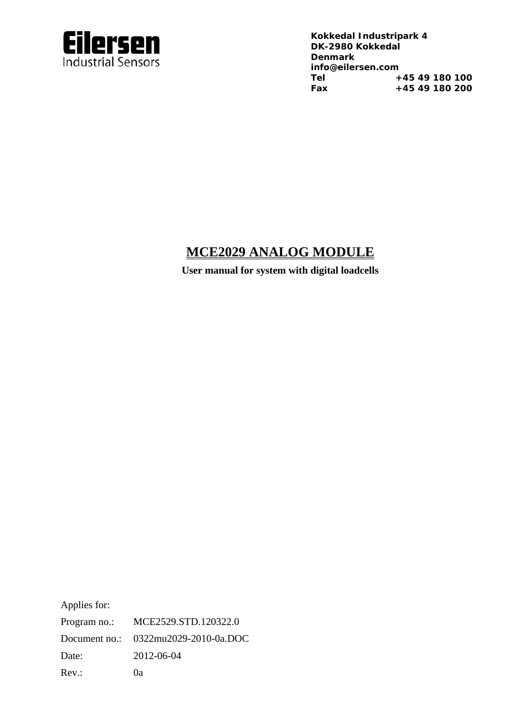

**Kokkedal Industripark 4 info@eilersen.com Tel +45 49 180 100 Fax +45 49 180 200** 

### **MCE2029 ANALOG MODULE**

**User manual for system with digital loadcells** 

Applies for:

Program no.: MCE2529.STD.120322.0 Document no.: 0322mu2029-2010-0a.DOC Date: 2012-06-04 Rev.: 0a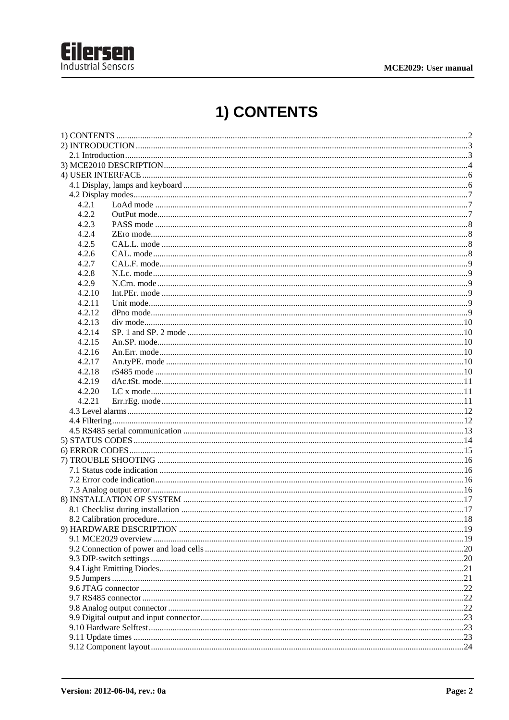

# 1) CONTENTS

| 4.2.1  |  |  |  |  |  |
|--------|--|--|--|--|--|
| 4.2.2  |  |  |  |  |  |
| 4.2.3  |  |  |  |  |  |
| 4.2.4  |  |  |  |  |  |
| 4.2.5  |  |  |  |  |  |
| 4.2.6  |  |  |  |  |  |
| 4.2.7  |  |  |  |  |  |
| 4.2.8  |  |  |  |  |  |
| 4.2.9  |  |  |  |  |  |
| 4.2.10 |  |  |  |  |  |
| 4.2.11 |  |  |  |  |  |
| 4.2.12 |  |  |  |  |  |
| 4.2.13 |  |  |  |  |  |
| 4.2.14 |  |  |  |  |  |
| 4.2.15 |  |  |  |  |  |
| 4.2.16 |  |  |  |  |  |
| 4.2.17 |  |  |  |  |  |
| 4.2.18 |  |  |  |  |  |
| 4.2.19 |  |  |  |  |  |
| 4.2.20 |  |  |  |  |  |
| 4.2.21 |  |  |  |  |  |
|        |  |  |  |  |  |
|        |  |  |  |  |  |
|        |  |  |  |  |  |
|        |  |  |  |  |  |
|        |  |  |  |  |  |
|        |  |  |  |  |  |
|        |  |  |  |  |  |
|        |  |  |  |  |  |
|        |  |  |  |  |  |
|        |  |  |  |  |  |
|        |  |  |  |  |  |
|        |  |  |  |  |  |
|        |  |  |  |  |  |
|        |  |  |  |  |  |
|        |  |  |  |  |  |
|        |  |  |  |  |  |
|        |  |  |  |  |  |
|        |  |  |  |  |  |
|        |  |  |  |  |  |
|        |  |  |  |  |  |
|        |  |  |  |  |  |
|        |  |  |  |  |  |
|        |  |  |  |  |  |
|        |  |  |  |  |  |
|        |  |  |  |  |  |
|        |  |  |  |  |  |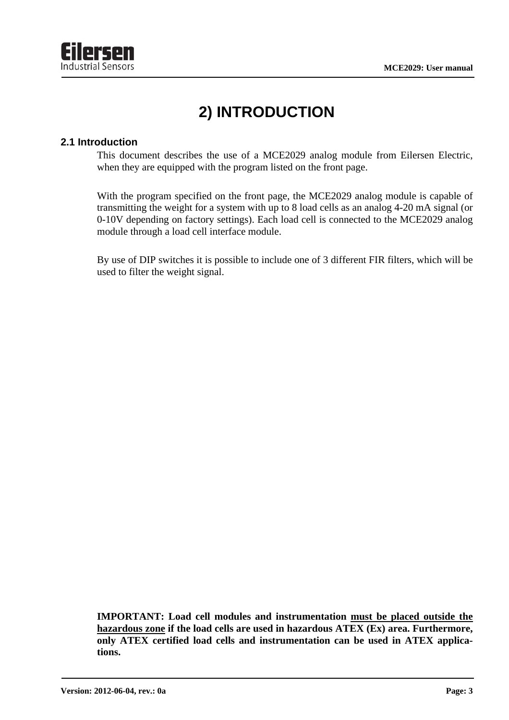

# **2) INTRODUCTION**

#### **2.1 Introduction**

This document describes the use of a MCE2029 analog module from Eilersen Electric, when they are equipped with the program listed on the front page.

With the program specified on the front page, the MCE2029 analog module is capable of transmitting the weight for a system with up to 8 load cells as an analog 4-20 mA signal (or 0-10V depending on factory settings). Each load cell is connected to the MCE2029 analog module through a load cell interface module.

By use of DIP switches it is possible to include one of 3 different FIR filters, which will be used to filter the weight signal.

**IMPORTANT: Load cell modules and instrumentation must be placed outside the hazardous zone if the load cells are used in hazardous ATEX (Ex) area. Furthermore, only ATEX certified load cells and instrumentation can be used in ATEX applications.**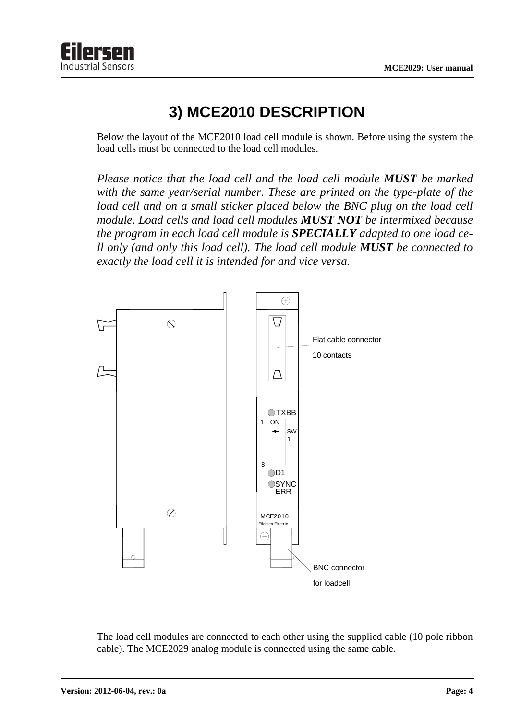

### **3) MCE2010 DESCRIPTION**

Below the layout of the MCE2010 load cell module is shown. Before using the system the load cells must be connected to the load cell modules.

*Please notice that the load cell and the load cell module MUST be marked with the same year/serial number. These are printed on the type-plate of the load cell and on a small sticker placed below the BNC plug on the load cell module. Load cells and load cell modules MUST NOT be intermixed because the program in each load cell module is SPECIALLY adapted to one load cell only (and only this load cell). The load cell module MUST be connected to exactly the load cell it is intended for and vice versa.* 



The load cell modules are connected to each other using the supplied cable (10 pole ribbon cable). The MCE2029 analog module is connected using the same cable.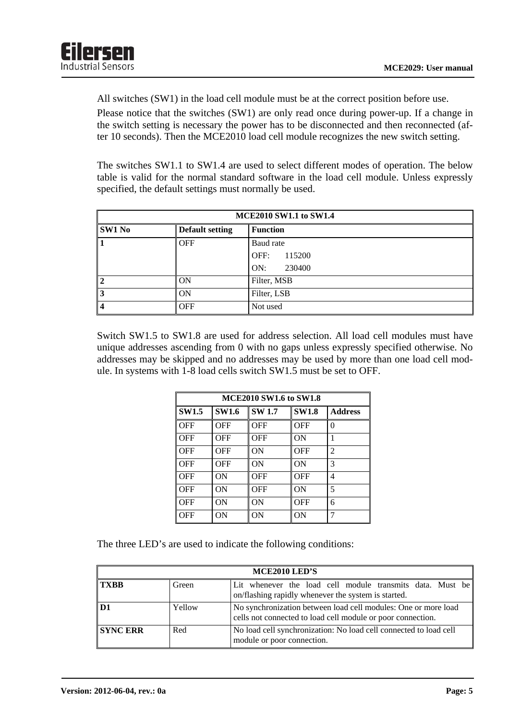All switches (SW1) in the load cell module must be at the correct position before use.

Please notice that the switches (SW1) are only read once during power-up. If a change in the switch setting is necessary the power has to be disconnected and then reconnected (after 10 seconds). Then the MCE2010 load cell module recognizes the new switch setting.

The switches SW1.1 to SW1.4 are used to select different modes of operation. The below table is valid for the normal standard software in the load cell module. Unless expressly specified, the default settings must normally be used.

| <b>MCE2010 SW1.1 to SW1.4</b> |                        |                 |  |  |  |
|-------------------------------|------------------------|-----------------|--|--|--|
| <b>SW1 No</b>                 | <b>Default setting</b> | <b>Function</b> |  |  |  |
| 1                             | <b>OFF</b>             | Baud rate       |  |  |  |
|                               |                        | OFF:<br>115200  |  |  |  |
|                               |                        | ON:<br>230400   |  |  |  |
| $\mathsf{I2}$                 | ON                     | Filter, MSB     |  |  |  |
| $\vert$ 3                     | ON                     | Filter, LSB     |  |  |  |
| $\vert 4$                     | <b>OFF</b>             | Not used        |  |  |  |

Switch SW1.5 to SW1.8 are used for address selection. All load cell modules must have unique addresses ascending from 0 with no gaps unless expressly specified otherwise. No addresses may be skipped and no addresses may be used by more than one load cell module. In systems with 1-8 load cells switch SW1.5 must be set to OFF.

| <b>MCE2010 SW1.6 to SW1.8</b> |              |              |              |                |  |  |
|-------------------------------|--------------|--------------|--------------|----------------|--|--|
| <b>SW1.5</b>                  | <b>SW1.6</b> | <b>SW1.7</b> | <b>SW1.8</b> | <b>Address</b> |  |  |
| OFF                           | OFF          | OFF          | OFF          | $\theta$       |  |  |
| OFF                           | OFF          | <b>OFF</b>   | ON           | 1              |  |  |
| OFF                           | OFF          | ON           | OFF          | 2              |  |  |
| OFF                           | OFF          | ON           | ON           | 3              |  |  |
| OFF                           | ON           | OFF          | OFF          | 4              |  |  |
| OFF                           | ΟN           | OFF          | ON           | 5              |  |  |
| OFF                           | ΟN           | ON           | OFF          | 6              |  |  |
| OFF                           | ΟN           | ON           | ON           | 7              |  |  |

The three LED's are used to indicate the following conditions:

| MCE2010 LED'S   |        |                                                                                                                               |  |  |  |  |  |
|-----------------|--------|-------------------------------------------------------------------------------------------------------------------------------|--|--|--|--|--|
| l TXBB          | Green  | Lit whenever the load cell module transmits data. Must be<br>on/flashing rapidly whenever the system is started.              |  |  |  |  |  |
| $\mathbf{D1}$   | Yellow | No synchronization between load cell modules: One or more load<br>cells not connected to load cell module or poor connection. |  |  |  |  |  |
| <b>SYNC ERR</b> | Red    | No load cell synchronization: No load cell connected to load cell<br>module or poor connection.                               |  |  |  |  |  |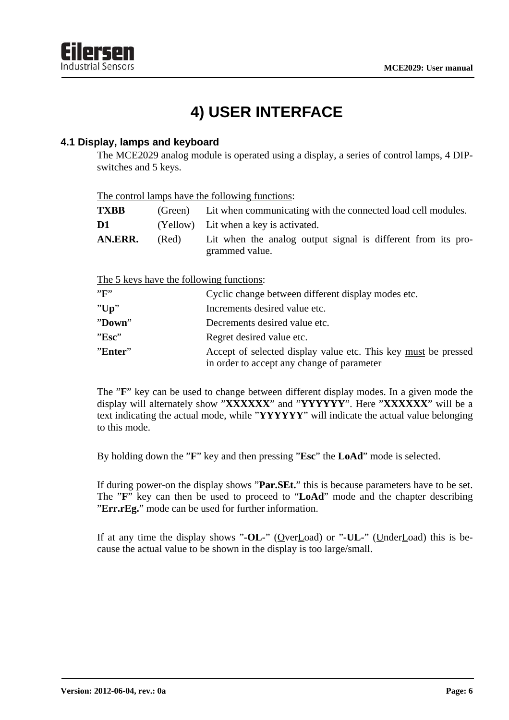

# **4) USER INTERFACE**

#### **4.1 Display, lamps and keyboard**

The MCE2029 analog module is operated using a display, a series of control lamps, 4 DIPswitches and 5 keys.

| The control lamps have the following functions: |  |  |
|-------------------------------------------------|--|--|
|                                                 |  |  |

| <b>TXBB</b> |       | (Green) Lit when communicating with the connected load cell modules.           |  |  |  |  |
|-------------|-------|--------------------------------------------------------------------------------|--|--|--|--|
| D1          |       | (Yellow) Lit when a key is activated.                                          |  |  |  |  |
| AN.ERR.     | (Red) | Lit when the analog output signal is different from its pro-<br>grammed value. |  |  |  |  |

The 5 keys have the following functions:

| "F"     | Cyclic change between different display modes etc.                                                           |
|---------|--------------------------------------------------------------------------------------------------------------|
| "Up"    | Increments desired value etc.                                                                                |
| "Down"  | Decrements desired value etc.                                                                                |
| "Esc"   | Regret desired value etc.                                                                                    |
| "Enter" | Accept of selected display value etc. This key must be pressed<br>in order to accept any change of parameter |

The "**F**" key can be used to change between different display modes. In a given mode the display will alternately show "**XXXXXX**" and "**YYYYYY**". Here "**XXXXXX**" will be a text indicating the actual mode, while "**YYYYYY**" will indicate the actual value belonging to this mode.

By holding down the "**F**" key and then pressing "**Esc**" the **LoAd**" mode is selected.

If during power-on the display shows "**Par.SEt.**" this is because parameters have to be set. The "**F**" key can then be used to proceed to "**LoAd**" mode and the chapter describing "**Err.rEg.**" mode can be used for further information.

If at any time the display shows "-OL-" (OverLoad) or "-UL-" (UnderLoad) this is because the actual value to be shown in the display is too large/small.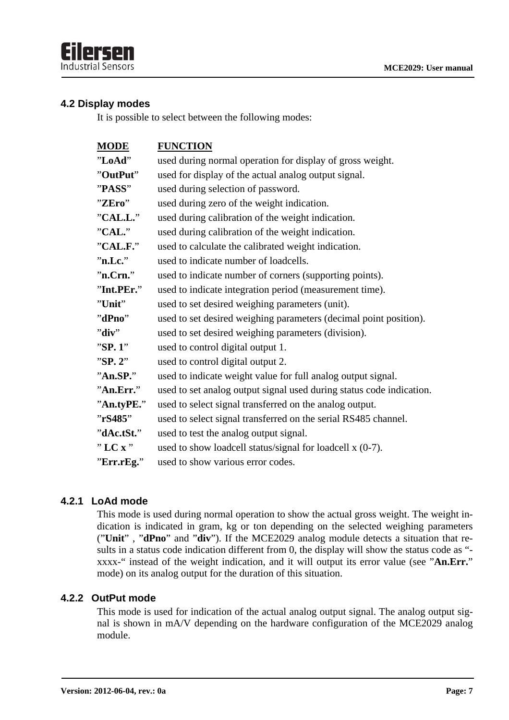#### **4.2 Display modes**

It is possible to select between the following modes:

| <b>MODE</b> | <b>FUNCTION</b>                                                      |
|-------------|----------------------------------------------------------------------|
| "LoAd"      | used during normal operation for display of gross weight.            |
| "OutPut"    | used for display of the actual analog output signal.                 |
| "PASS"      | used during selection of password.                                   |
| "ZEro"      | used during zero of the weight indication.                           |
| "CAL.L."    | used during calibration of the weight indication.                    |
| "CAL."      | used during calibration of the weight indication.                    |
| "CAL.F."    | used to calculate the calibrated weight indication.                  |
| "n.Lc."     | used to indicate number of loadcells.                                |
| "n.Crn."    | used to indicate number of corners (supporting points).              |
| "Int.PEr."  | used to indicate integration period (measurement time).              |
| "Unit"      | used to set desired weighing parameters (unit).                      |
| "dPno"      | used to set desired weighing parameters (decimal point position).    |
| "div"       | used to set desired weighing parameters (division).                  |
| "SP. 1"     | used to control digital output 1.                                    |
| "SP. 2"     | used to control digital output 2.                                    |
| "An S.P."   | used to indicate weight value for full analog output signal.         |
| "An.Err."   | used to set analog output signal used during status code indication. |
| "An.tyPE."  | used to select signal transferred on the analog output.              |
| "rS485"     | used to select signal transferred on the serial RS485 channel.       |
| "dAc.tSt."  | used to test the analog output signal.                               |
| "LC $x$ "   | used to show loadcell status/signal for loadcell x (0-7).            |
| "Err.rEg."  | used to show various error codes.                                    |
|             |                                                                      |

#### **4.2.1 LoAd mode**

This mode is used during normal operation to show the actual gross weight. The weight indication is indicated in gram, kg or ton depending on the selected weighing parameters ("**Unit**" , "**dPno**" and "**div**"). If the MCE2029 analog module detects a situation that results in a status code indication different from 0, the display will show the status code as " xxxx-" instead of the weight indication, and it will output its error value (see "**An.Err.**" mode) on its analog output for the duration of this situation.

#### **4.2.2 OutPut mode**

This mode is used for indication of the actual analog output signal. The analog output signal is shown in mA/V depending on the hardware configuration of the MCE2029 analog module.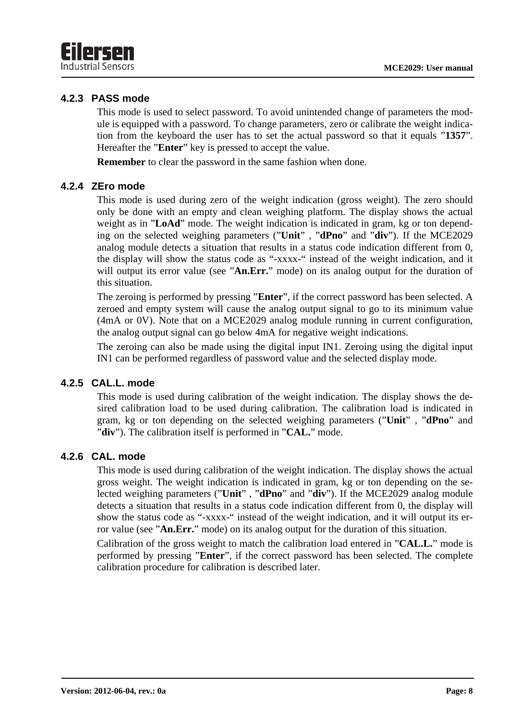#### **4.2.3 PASS mode**

This mode is used to select password. To avoid unintended change of parameters the module is equipped with a password. To change parameters, zero or calibrate the weight indication from the keyboard the user has to set the actual password so that it equals "**1357**". Hereafter the "**Enter**" key is pressed to accept the value.

**Remember** to clear the password in the same fashion when done.

#### **4.2.4 ZEro mode**

This mode is used during zero of the weight indication (gross weight). The zero should only be done with an empty and clean weighing platform. The display shows the actual weight as in "**LoAd**" mode. The weight indication is indicated in gram, kg or ton depending on the selected weighing parameters ("**Unit**" , "**dPno**" and "**div**"). If the MCE2029 analog module detects a situation that results in a status code indication different from 0, the display will show the status code as "-xxxx-" instead of the weight indication, and it will output its error value (see "An.Err." mode) on its analog output for the duration of this situation.

The zeroing is performed by pressing "**Enter**", if the correct password has been selected. A zeroed and empty system will cause the analog output signal to go to its minimum value (4mA or 0V). Note that on a MCE2029 analog module running in current configuration, the analog output signal can go below 4mA for negative weight indications.

The zeroing can also be made using the digital input IN1. Zeroing using the digital input IN1 can be performed regardless of password value and the selected display mode.

#### **4.2.5 CAL.L. mode**

This mode is used during calibration of the weight indication. The display shows the desired calibration load to be used during calibration. The calibration load is indicated in gram, kg or ton depending on the selected weighing parameters ("**Unit**" , "**dPno**" and "**div**"). The calibration itself is performed in "**CAL.**" mode.

#### **4.2.6 CAL. mode**

This mode is used during calibration of the weight indication. The display shows the actual gross weight. The weight indication is indicated in gram, kg or ton depending on the selected weighing parameters ("**Unit**" , "**dPno**" and "**div**"). If the MCE2029 analog module detects a situation that results in a status code indication different from 0, the display will show the status code as "-xxxx-" instead of the weight indication, and it will output its error value (see "**An.Err.**" mode) on its analog output for the duration of this situation.

Calibration of the gross weight to match the calibration load entered in "**CAL.L.**" mode is performed by pressing "**Enter**", if the correct password has been selected. The complete calibration procedure for calibration is described later.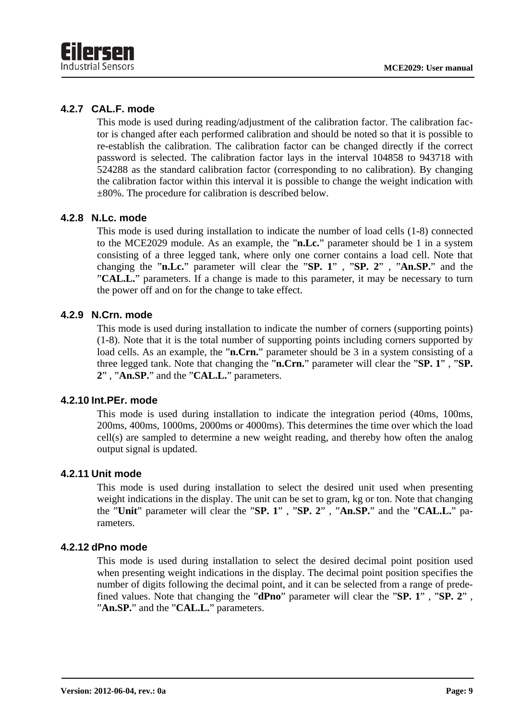#### **4.2.7 CAL.F. mode**

This mode is used during reading/adjustment of the calibration factor. The calibration factor is changed after each performed calibration and should be noted so that it is possible to re-establish the calibration. The calibration factor can be changed directly if the correct password is selected. The calibration factor lays in the interval 104858 to 943718 with 524288 as the standard calibration factor (corresponding to no calibration). By changing the calibration factor within this interval it is possible to change the weight indication with ±80%. The procedure for calibration is described below.

#### **4.2.8 N.Lc. mode**

This mode is used during installation to indicate the number of load cells (1-8) connected to the MCE2029 module. As an example, the "**n.Lc.**" parameter should be 1 in a system consisting of a three legged tank, where only one corner contains a load cell. Note that changing the "**n.Lc.**" parameter will clear the "**SP. 1**" , "**SP. 2**" , "**An.SP.**" and the "**CAL.L.**" parameters. If a change is made to this parameter, it may be necessary to turn the power off and on for the change to take effect.

#### **4.2.9 N.Crn. mode**

This mode is used during installation to indicate the number of corners (supporting points) (1-8). Note that it is the total number of supporting points including corners supported by load cells. As an example, the "**n.Crn.**" parameter should be 3 in a system consisting of a three legged tank. Note that changing the "**n.Crn.**" parameter will clear the "**SP. 1**" , "**SP. 2**" , "**An.SP.**" and the "**CAL.L.**" parameters.

#### **4.2.10 Int.PEr. mode**

This mode is used during installation to indicate the integration period (40ms, 100ms, 200ms, 400ms, 1000ms, 2000ms or 4000ms). This determines the time over which the load cell(s) are sampled to determine a new weight reading, and thereby how often the analog output signal is updated.

#### **4.2.11 Unit mode**

This mode is used during installation to select the desired unit used when presenting weight indications in the display. The unit can be set to gram, kg or ton. Note that changing the "**Unit**" parameter will clear the "**SP. 1**" , "**SP. 2**" , "**An.SP.**" and the "**CAL.L.**" parameters.

#### **4.2.12 dPno mode**

This mode is used during installation to select the desired decimal point position used when presenting weight indications in the display. The decimal point position specifies the number of digits following the decimal point, and it can be selected from a range of predefined values. Note that changing the "**dPno**" parameter will clear the "**SP. 1**" , "**SP. 2**" , "**An.SP.**" and the "**CAL.L.**" parameters.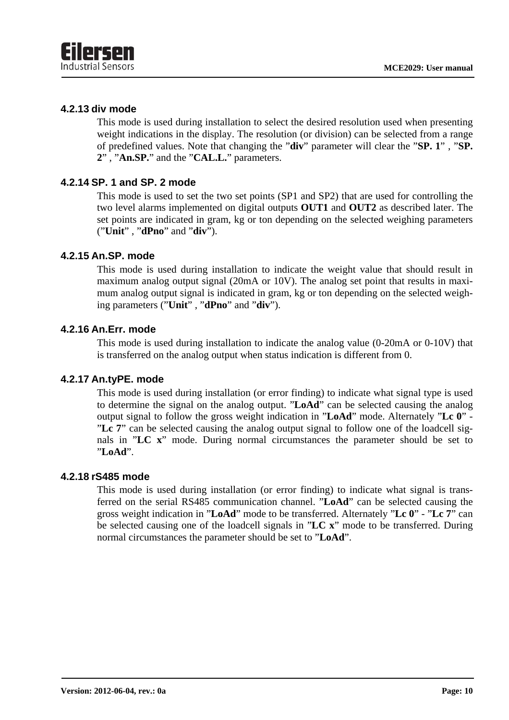#### **4.2.13 div mode**

This mode is used during installation to select the desired resolution used when presenting weight indications in the display. The resolution (or division) can be selected from a range of predefined values. Note that changing the "**div**" parameter will clear the "**SP. 1**" , "**SP. 2**" , "**An.SP.**" and the "**CAL.L.**" parameters.

#### **4.2.14 SP. 1 and SP. 2 mode**

This mode is used to set the two set points (SP1 and SP2) that are used for controlling the two level alarms implemented on digital outputs **OUT1** and **OUT2** as described later. The set points are indicated in gram, kg or ton depending on the selected weighing parameters ("**Unit**" , "**dPno**" and "**div**").

#### **4.2.15 An.SP. mode**

This mode is used during installation to indicate the weight value that should result in maximum analog output signal (20mA or 10V). The analog set point that results in maximum analog output signal is indicated in gram, kg or ton depending on the selected weighing parameters ("**Unit**" , "**dPno**" and "**div**").

#### **4.2.16 An.Err. mode**

This mode is used during installation to indicate the analog value (0-20mA or 0-10V) that is transferred on the analog output when status indication is different from 0.

#### **4.2.17 An.tyPE. mode**

This mode is used during installation (or error finding) to indicate what signal type is used to determine the signal on the analog output. "**LoAd**" can be selected causing the analog output signal to follow the gross weight indication in "**LoAd**" mode. Alternately "**Lc 0**" - "**Lc 7**" can be selected causing the analog output signal to follow one of the loadcell signals in "**LC x**" mode. During normal circumstances the parameter should be set to "**LoAd**".

#### **4.2.18 rS485 mode**

This mode is used during installation (or error finding) to indicate what signal is transferred on the serial RS485 communication channel. "**LoAd**" can be selected causing the gross weight indication in "**LoAd**" mode to be transferred. Alternately "**Lc 0**" - "**Lc 7**" can be selected causing one of the loadcell signals in "**LC x**" mode to be transferred. During normal circumstances the parameter should be set to "**LoAd**".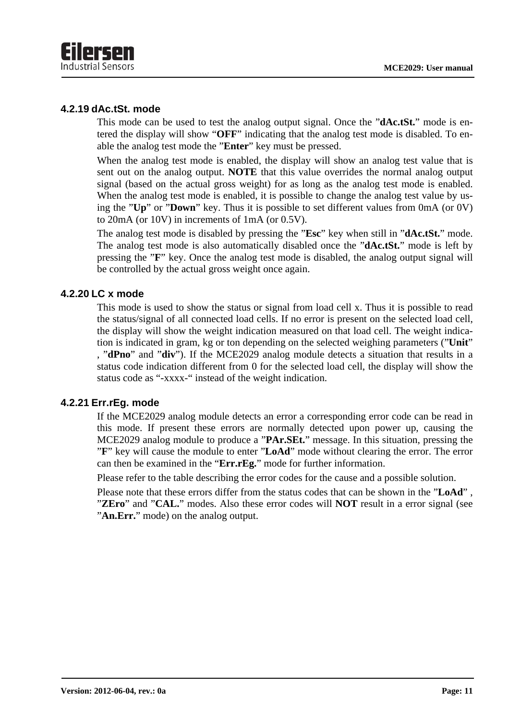

#### **4.2.19 dAc.tSt. mode**

This mode can be used to test the analog output signal. Once the "**dAc.tSt.**" mode is entered the display will show "**OFF**" indicating that the analog test mode is disabled. To enable the analog test mode the "**Enter**" key must be pressed.

When the analog test mode is enabled, the display will show an analog test value that is sent out on the analog output. **NOTE** that this value overrides the normal analog output signal (based on the actual gross weight) for as long as the analog test mode is enabled. When the analog test mode is enabled, it is possible to change the analog test value by using the "**Up**" or "**Down**" key. Thus it is possible to set different values from 0mA (or 0V) to 20mA (or 10V) in increments of 1mA (or 0.5V).

The analog test mode is disabled by pressing the "**Esc**" key when still in "**dAc.tSt.**" mode. The analog test mode is also automatically disabled once the "**dAc.tSt.**" mode is left by pressing the "**F**" key. Once the analog test mode is disabled, the analog output signal will be controlled by the actual gross weight once again.

#### **4.2.20 LC x mode**

This mode is used to show the status or signal from load cell x. Thus it is possible to read the status/signal of all connected load cells. If no error is present on the selected load cell, the display will show the weight indication measured on that load cell. The weight indication is indicated in gram, kg or ton depending on the selected weighing parameters ("**Unit**" , "**dPno**" and "**div**"). If the MCE2029 analog module detects a situation that results in a status code indication different from 0 for the selected load cell, the display will show the status code as "-xxxx-" instead of the weight indication.

#### **4.2.21 Err.rEg. mode**

If the MCE2029 analog module detects an error a corresponding error code can be read in this mode. If present these errors are normally detected upon power up, causing the MCE2029 analog module to produce a "**PAr.SEt.**" message. In this situation, pressing the "**F**" key will cause the module to enter "**LoAd**" mode without clearing the error. The error can then be examined in the "**Err.rEg.**" mode for further information.

Please refer to the table describing the error codes for the cause and a possible solution.

Please note that these errors differ from the status codes that can be shown in the "**LoAd**" , "**ZEro**" and "**CAL.**" modes. Also these error codes will **NOT** result in a error signal (see "**An.Err.**" mode) on the analog output.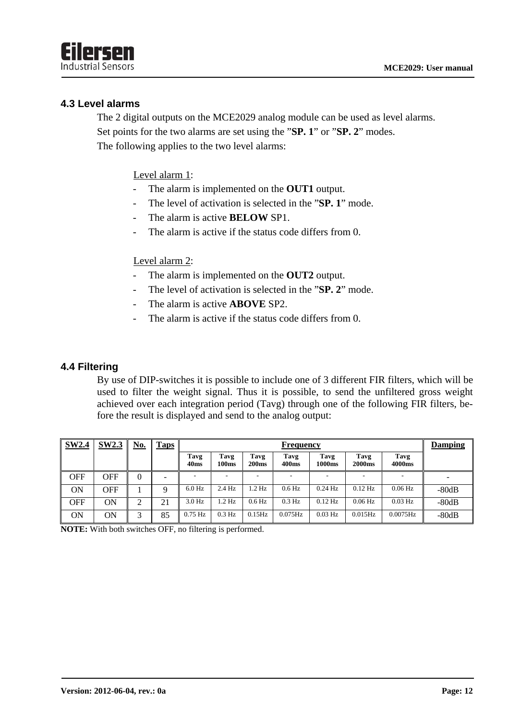

#### **4.3 Level alarms**

The 2 digital outputs on the MCE2029 analog module can be used as level alarms. Set points for the two alarms are set using the "**SP. 1**" or "**SP. 2**" modes. The following applies to the two level alarms:

Level alarm 1:

- The alarm is implemented on the **OUT1** output.
- The level of activation is selected in the "**SP. 1**" mode.
- The alarm is active **BELOW** SP1.
- The alarm is active if the status code differs from 0.

#### Level alarm 2:

- The alarm is implemented on the **OUT2** output.
- The level of activation is selected in the "**SP. 2**" mode.
- The alarm is active **ABOVE** SP2.
- The alarm is active if the status code differs from 0.

#### **4.4 Filtering**

By use of DIP-switches it is possible to include one of 3 different FIR filters, which will be used to filter the weight signal. Thus it is possible, to send the unfiltered gross weight achieved over each integration period (Tavg) through one of the following FIR filters, before the result is displayed and send to the analog output:

| <b>SW2.4</b> | <b>SW2.3</b> | <u>No.</u> | <b>Taps</b> |                          | Frequency     |                           |                           |                |                       | <b>Damping</b> |         |
|--------------|--------------|------------|-------------|--------------------------|---------------|---------------------------|---------------------------|----------------|-----------------------|----------------|---------|
|              |              |            |             | Tavg<br>40 <sub>ms</sub> | Tavg<br>100ms | Tavg<br>200 <sub>ms</sub> | Tavg<br>400 <sub>ms</sub> | Tavg<br>1000ms | Tavg<br><b>2000ms</b> | Tavg<br>4000ms |         |
| <b>OFF</b>   | OFF          | $\theta$   |             |                          |               | -                         |                           |                |                       |                |         |
| ÓN           | OFF          |            |             | $6.0$ Hz                 | 2.4 Hz        | $.2$ Hz                   | $0.6$ Hz                  | $0.24$ Hz      | $0.12$ Hz             | $0.06$ Hz      | $-80dB$ |
| <b>OFF</b>   | ΟN           | ◠          | n.          | $3.0$ Hz                 | $1.2$ Hz      | $0.6$ Hz                  | $0.3$ Hz                  | $0.12$ Hz      | $0.06$ Hz             | $0.03$ Hz      | $-80dB$ |
| ON           | ON           | ⌒          | 85          | $0.75$ Hz                | $0.3$ Hz      | $0.15\text{Hz}$           | $0.075$ Hz                | $0.03$ Hz      | $0.015$ Hz            | $0.0075$ Hz    | $-80dB$ |

**NOTE:** With both switches OFF, no filtering is performed.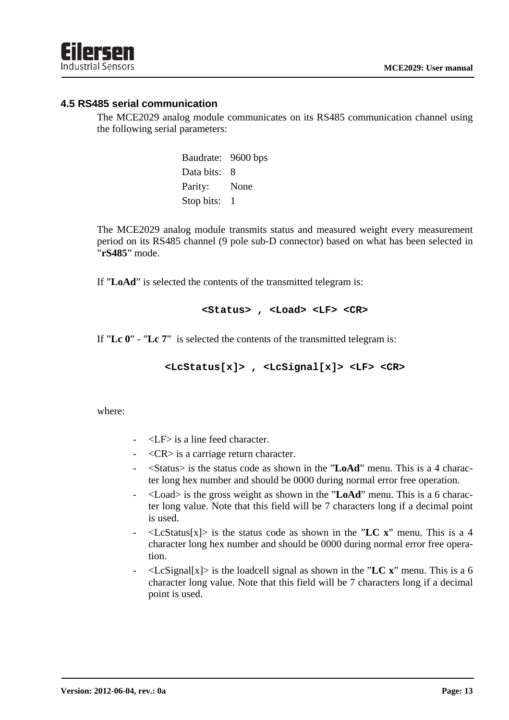#### **4.5 RS485 serial communication**

The MCE2029 analog module communicates on its RS485 communication channel using the following serial parameters:

> Baudrate: 9600 bps Data bits: 8 Parity: None Stop bits: 1

The MCE2029 analog module transmits status and measured weight every measurement period on its RS485 channel (9 pole sub-D connector) based on what has been selected in "**rS485**" mode.

If "**LoAd**" is selected the contents of the transmitted telegram is:

#### **<Status> , <Load> <LF> <CR>**

If "**Lc 0**" - "**Lc 7**" is selected the contents of the transmitted telegram is:

**<LcStatus[x]> , <LcSignal[x]> <LF> <CR>** 

where:

- $\langle$ LF $>$  is a line feed character.
- $\langle$ CR $>$  is a carriage return character.
- <Status> is the status code as shown in the "**LoAd**" menu. This is a 4 character long hex number and should be 0000 during normal error free operation.
- <Load> is the gross weight as shown in the "**LoAd**" menu. This is a 6 character long value. Note that this field will be 7 characters long if a decimal point is used.
- $\langle$ LcStatus[x] $>$  is the status code as shown in the "LC x" menu. This is a 4 character long hex number and should be 0000 during normal error free operation.
- $\langle$ LcSignal[x] $>$  is the loadcell signal as shown in the "LC x" menu. This is a 6 character long value. Note that this field will be 7 characters long if a decimal point is used.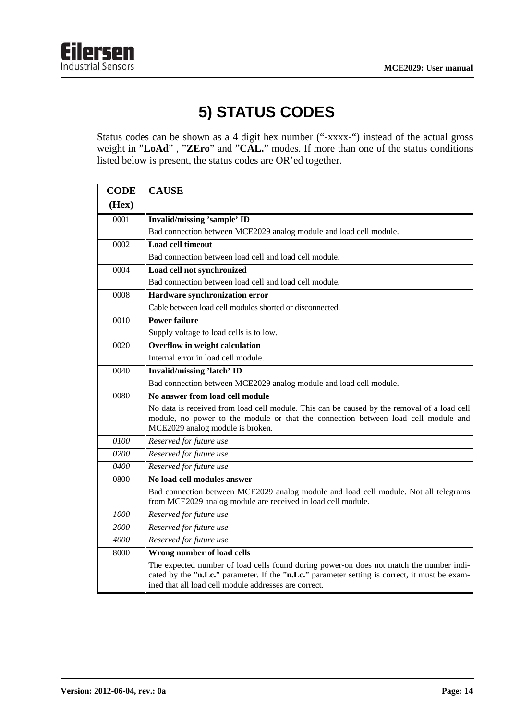

# **5) STATUS CODES**

Status codes can be shown as a 4 digit hex number ("-xxxx-") instead of the actual gross weight in "**LoAd**" , "**ZEro**" and "**CAL.**" modes. If more than one of the status conditions listed below is present, the status codes are OR'ed together.

| <b>CODE</b> | <b>CAUSE</b>                                                                                                                                                                                                                                      |
|-------------|---------------------------------------------------------------------------------------------------------------------------------------------------------------------------------------------------------------------------------------------------|
| (Hex)       |                                                                                                                                                                                                                                                   |
| 0001        | <b>Invalid/missing 'sample' ID</b>                                                                                                                                                                                                                |
|             | Bad connection between MCE2029 analog module and load cell module.                                                                                                                                                                                |
| 0002        | <b>Load cell timeout</b>                                                                                                                                                                                                                          |
|             | Bad connection between load cell and load cell module.                                                                                                                                                                                            |
| 0004        | Load cell not synchronized                                                                                                                                                                                                                        |
|             | Bad connection between load cell and load cell module.                                                                                                                                                                                            |
| 0008        | Hardware synchronization error                                                                                                                                                                                                                    |
|             | Cable between load cell modules shorted or disconnected.                                                                                                                                                                                          |
| 0010        | <b>Power failure</b>                                                                                                                                                                                                                              |
|             | Supply voltage to load cells is to low.                                                                                                                                                                                                           |
| 0020        | Overflow in weight calculation                                                                                                                                                                                                                    |
|             | Internal error in load cell module.                                                                                                                                                                                                               |
| 0040        | <b>Invalid/missing 'latch' ID</b>                                                                                                                                                                                                                 |
|             | Bad connection between MCE2029 analog module and load cell module.                                                                                                                                                                                |
| 0080        | No answer from load cell module                                                                                                                                                                                                                   |
|             | No data is received from load cell module. This can be caused by the removal of a load cell<br>module, no power to the module or that the connection between load cell module and<br>MCE2029 analog module is broken.                             |
| 0100        | Reserved for future use                                                                                                                                                                                                                           |
| 0200        | Reserved for future use                                                                                                                                                                                                                           |
| 0400        | Reserved for future use                                                                                                                                                                                                                           |
| 0800        | No load cell modules answer                                                                                                                                                                                                                       |
|             | Bad connection between MCE2029 analog module and load cell module. Not all telegrams<br>from MCE2029 analog module are received in load cell module.                                                                                              |
| 1000        | Reserved for future use                                                                                                                                                                                                                           |
| 2000        | Reserved for future use                                                                                                                                                                                                                           |
| 4000        | Reserved for future use                                                                                                                                                                                                                           |
| 8000        | Wrong number of load cells                                                                                                                                                                                                                        |
|             | The expected number of load cells found during power-on does not match the number indi-<br>cated by the "n.Lc." parameter. If the "n.Lc." parameter setting is correct, it must be exam-<br>ined that all load cell module addresses are correct. |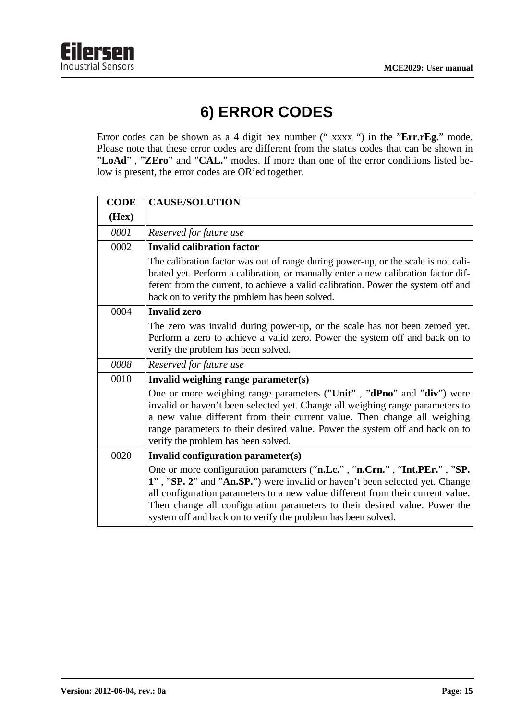

# **6) ERROR CODES**

Error codes can be shown as a 4 digit hex number (" xxxx ") in the "**Err.rEg.**" mode. Please note that these error codes are different from the status codes that can be shown in "**LoAd**" , "**ZEro**" and "**CAL.**" modes. If more than one of the error conditions listed below is present, the error codes are OR'ed together.

| <b>CODE</b> | <b>CAUSE/SOLUTION</b>                                                                                                                                                                                                                                                                                                                                                                      |
|-------------|--------------------------------------------------------------------------------------------------------------------------------------------------------------------------------------------------------------------------------------------------------------------------------------------------------------------------------------------------------------------------------------------|
| (Hex)       |                                                                                                                                                                                                                                                                                                                                                                                            |
| 0001        | Reserved for future use                                                                                                                                                                                                                                                                                                                                                                    |
| 0002        | <b>Invalid calibration factor</b>                                                                                                                                                                                                                                                                                                                                                          |
|             | The calibration factor was out of range during power-up, or the scale is not cali-<br>brated yet. Perform a calibration, or manually enter a new calibration factor dif-<br>ferent from the current, to achieve a valid calibration. Power the system off and<br>back on to verify the problem has been solved.                                                                            |
| 0004        | <b>Invalid zero</b>                                                                                                                                                                                                                                                                                                                                                                        |
|             | The zero was invalid during power-up, or the scale has not been zeroed yet.<br>Perform a zero to achieve a valid zero. Power the system off and back on to<br>verify the problem has been solved.                                                                                                                                                                                          |
| 0008        | Reserved for future use                                                                                                                                                                                                                                                                                                                                                                    |
| 0010        | Invalid weighing range parameter(s)                                                                                                                                                                                                                                                                                                                                                        |
|             | One or more weighing range parameters ("Unit", "dPno" and "div") were<br>invalid or haven't been selected yet. Change all weighing range parameters to<br>a new value different from their current value. Then change all weighing<br>range parameters to their desired value. Power the system off and back on to<br>verify the problem has been solved.                                  |
| 0020        | Invalid configuration parameter(s)                                                                                                                                                                                                                                                                                                                                                         |
|             | One or more configuration parameters ("n.Lc.", "n.Crn.", "Int.PEr.", "SP.<br>1", "SP. 2" and "An.SP.") were invalid or haven't been selected yet. Change<br>all configuration parameters to a new value different from their current value.<br>Then change all configuration parameters to their desired value. Power the<br>system off and back on to verify the problem has been solved. |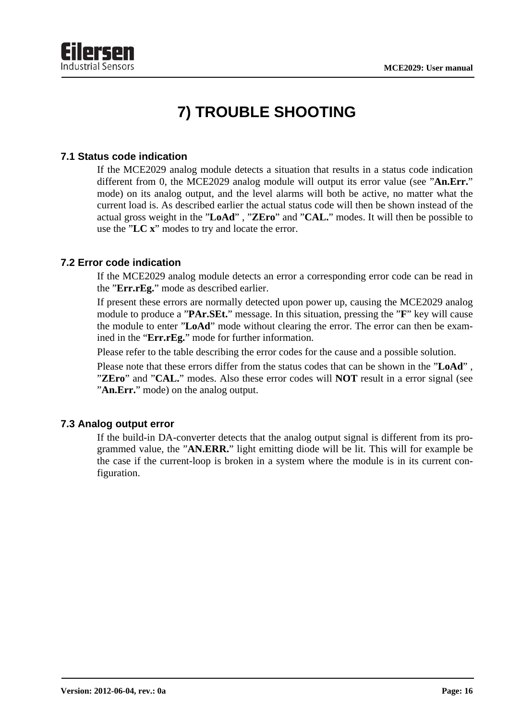

# **7) TROUBLE SHOOTING**

#### **7.1 Status code indication**

If the MCE2029 analog module detects a situation that results in a status code indication different from 0, the MCE2029 analog module will output its error value (see "**An.Err.**" mode) on its analog output, and the level alarms will both be active, no matter what the current load is. As described earlier the actual status code will then be shown instead of the actual gross weight in the "**LoAd**" , "**ZEro**" and "**CAL.**" modes. It will then be possible to use the "**LC x**" modes to try and locate the error.

#### **7.2 Error code indication**

If the MCE2029 analog module detects an error a corresponding error code can be read in the "**Err.rEg.**" mode as described earlier.

If present these errors are normally detected upon power up, causing the MCE2029 analog module to produce a "**PAr.SEt.**" message. In this situation, pressing the "**F**" key will cause the module to enter "**LoAd**" mode without clearing the error. The error can then be examined in the "**Err.rEg.**" mode for further information.

Please refer to the table describing the error codes for the cause and a possible solution.

Please note that these errors differ from the status codes that can be shown in the "**LoAd**" , "**ZEro**" and "**CAL.**" modes. Also these error codes will **NOT** result in a error signal (see "**An.Err.**" mode) on the analog output.

#### **7.3 Analog output error**

If the build-in DA-converter detects that the analog output signal is different from its programmed value, the "**AN.ERR.**" light emitting diode will be lit. This will for example be the case if the current-loop is broken in a system where the module is in its current configuration.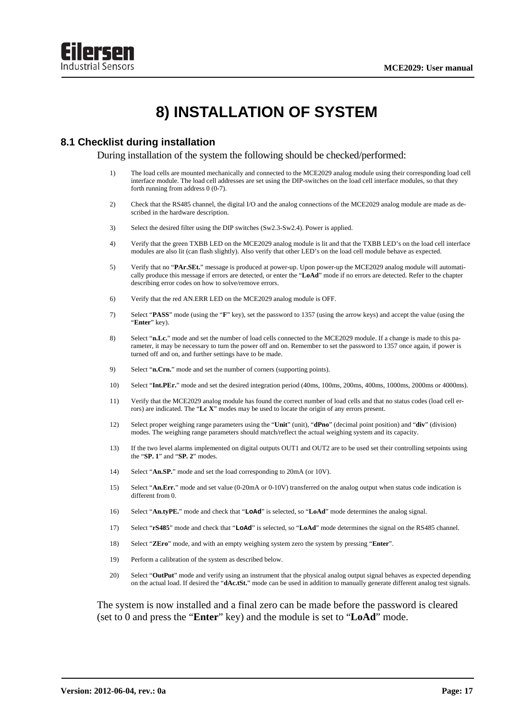

### **8) INSTALLATION OF SYSTEM**

#### **8.1 Checklist during installation**

During installation of the system the following should be checked/performed:

- 1) The load cells are mounted mechanically and connected to the MCE2029 analog module using their corresponding load cell interface module. The load cell addresses are set using the DIP-switches on the load cell interface modules, so that they forth running from address 0 (0-7).
- 2) Check that the RS485 channel, the digital I/O and the analog connections of the MCE2029 analog module are made as described in the hardware description.
- 3) Select the desired filter using the DIP switches (Sw2.3-Sw2.4). Power is applied.
- 4) Verify that the green TXBB LED on the MCE2029 analog module is lit and that the TXBB LED's on the load cell interface modules are also lit (can flash slightly). Also verify that other LED's on the load cell module behave as expected.
- 5) Verify that no "**PAr.SEt.**" message is produced at power-up. Upon power-up the MCE2029 analog module will automatically produce this message if errors are detected, or enter the "**LoAd**" mode if no errors are detected. Refer to the chapter describing error codes on how to solve/remove errors.
- 6) Verify that the red AN.ERR LED on the MCE2029 analog module is OFF.
- 7) Select "**PASS**" mode (using the "**F**" key), set the password to 1357 (using the arrow keys) and accept the value (using the "**Enter**" key).
- 8) Select "**n.Lc.**" mode and set the number of load cells connected to the MCE2029 module. If a change is made to this parameter, it may be necessary to turn the power off and on. Remember to set the password to 1357 once again, if power is turned off and on, and further settings have to be made.
- 9) Select "**n.Crn.**" mode and set the number of corners (supporting points).
- 10) Select "**Int.PEr.**" mode and set the desired integration period (40ms, 100ms, 200ms, 400ms, 1000ms, 2000ms or 4000ms).
- 11) Verify that the MCE2029 analog module has found the correct number of load cells and that no status codes (load cell errors) are indicated. The "**Lc X**" modes may be used to locate the origin of any errors present.
- 12) Select proper weighing range parameters using the "**Unit**" (unit), "**dPno**" (decimal point position) and "**div**" (division) modes. The weighing range parameters should match/reflect the actual weighing system and its capacity.
- 13) If the two level alarms implemented on digital outputs OUT1 and OUT2 are to be used set their controlling setpoints using the "**SP. 1**" and "**SP. 2**" modes.
- 14) Select "**An.SP.**" mode and set the load corresponding to 20mA (or 10V).
- 15) Select "**An.Err.**" mode and set value (0-20mA or 0-10V) transferred on the analog output when status code indication is different from 0.
- 16) Select "**An.tyPE.**" mode and check that "**LoAd**" is selected, so "**LoAd**" mode determines the analog signal.
- 17) Select "**rS485**" mode and check that "**LoAd**" is selected, so "**LoAd**" mode determines the signal on the RS485 channel.
- 18) Select "**ZEro**" mode, and with an empty weighing system zero the system by pressing "**Enter**".
- 19) Perform a calibration of the system as described below.
- 20) Select "**OutPut**" mode and verify using an instrument that the physical analog output signal behaves as expected depending on the actual load. If desired the "**dAc.tSt.**" mode can be used in addition to manually generate different analog test signals.

 The system is now installed and a final zero can be made before the password is cleared (set to 0 and press the "**Enter**" key) and the module is set to "**LoAd**" mode.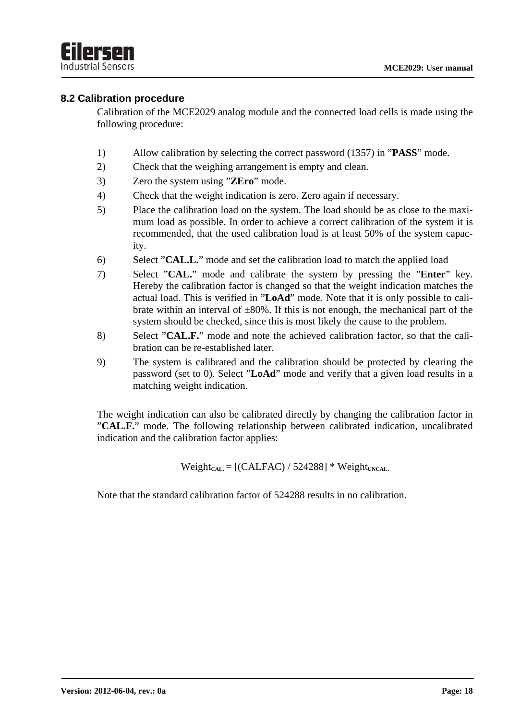#### **8.2 Calibration procedure**

Calibration of the MCE2029 analog module and the connected load cells is made using the following procedure:

- 1) Allow calibration by selecting the correct password (1357) in "**PASS**" mode.
- 2) Check that the weighing arrangement is empty and clean.
- 3) Zero the system using "**ZEro**" mode.
- 4) Check that the weight indication is zero. Zero again if necessary.
- 5) Place the calibration load on the system. The load should be as close to the maximum load as possible. In order to achieve a correct calibration of the system it is recommended, that the used calibration load is at least 50% of the system capacity.
- 6) Select "**CAL.L.**" mode and set the calibration load to match the applied load
- 7) Select "**CAL.**" mode and calibrate the system by pressing the "**Enter**" key. Hereby the calibration factor is changed so that the weight indication matches the actual load. This is verified in "**LoAd**" mode. Note that it is only possible to calibrate within an interval of  $\pm 80\%$ . If this is not enough, the mechanical part of the system should be checked, since this is most likely the cause to the problem.
- 8) Select "**CAL.F.**" mode and note the achieved calibration factor, so that the calibration can be re-established later.
- 9) The system is calibrated and the calibration should be protected by clearing the password (set to 0). Select "**LoAd**" mode and verify that a given load results in a matching weight indication.

The weight indication can also be calibrated directly by changing the calibration factor in "**CAL.F.**" mode. The following relationship between calibrated indication, uncalibrated indication and the calibration factor applies:

 $Weight_{CAL} = [(CALFAC) / 524288] * Weight_{UNCAL}$ 

Note that the standard calibration factor of 524288 results in no calibration.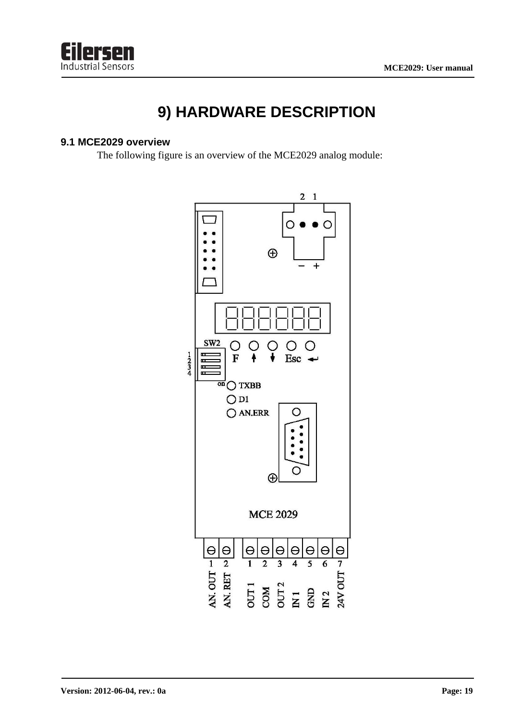

### **9) HARDWARE DESCRIPTION**

#### **9.1 MCE2029 overview**

The following figure is an overview of the MCE2029 analog module:

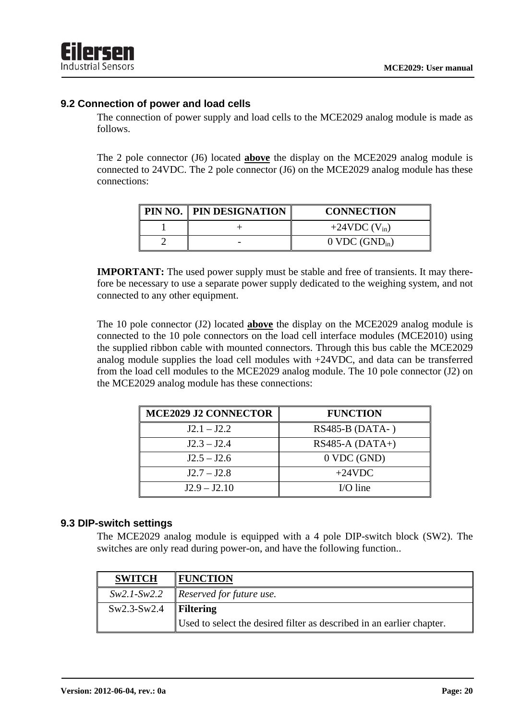#### **9.2 Connection of power and load cells**

The connection of power supply and load cells to the MCE2029 analog module is made as follows.

The 2 pole connector (J6) located **above** the display on the MCE2029 analog module is connected to 24VDC. The 2 pole connector (J6) on the MCE2029 analog module has these connections:

| PIN NO.   PIN DESIGNATION | <b>CONNECTION</b>            |
|---------------------------|------------------------------|
|                           | $+24VDC$ (V <sub>in</sub> )  |
|                           | $0$ VDC (GND <sub>in</sub> ) |

**IMPORTANT:** The used power supply must be stable and free of transients. It may therefore be necessary to use a separate power supply dedicated to the weighing system, and not connected to any other equipment.

The 10 pole connector (J2) located **above** the display on the MCE2029 analog module is connected to the 10 pole connectors on the load cell interface modules (MCE2010) using the supplied ribbon cable with mounted connectors. Through this bus cable the MCE2029 analog module supplies the load cell modules with +24VDC, and data can be transferred from the load cell modules to the MCE2029 analog module. The 10 pole connector (J2) on the MCE2029 analog module has these connections:

| <b>MCE2029 J2 CONNECTOR</b> | <b>FUNCTION</b>   |
|-----------------------------|-------------------|
| $J2.1 - J2.2$               | RS485-B (DATA-)   |
| $J2.3 - J2.4$               | $RS485-A (DATA+)$ |
| $J2.5 - J2.6$               | $0$ VDC (GND)     |
| $J2.7 - J2.8$               | $+24$ VDC         |
| $J2.9 - J2.10$              | $UO line$         |

#### **9.3 DIP-switch settings**

The MCE2029 analog module is equipped with a 4 pole DIP-switch block (SW2). The switches are only read during power-on, and have the following function..

| <b>SWITCH</b>           | <b>FUNCTION</b>                                                       |  |
|-------------------------|-----------------------------------------------------------------------|--|
|                         | $Sw2.1-Sw2.2$ Reserved for future use.                                |  |
| $Sw2.3-Sw2.4$ Filtering |                                                                       |  |
|                         | Used to select the desired filter as described in an earlier chapter. |  |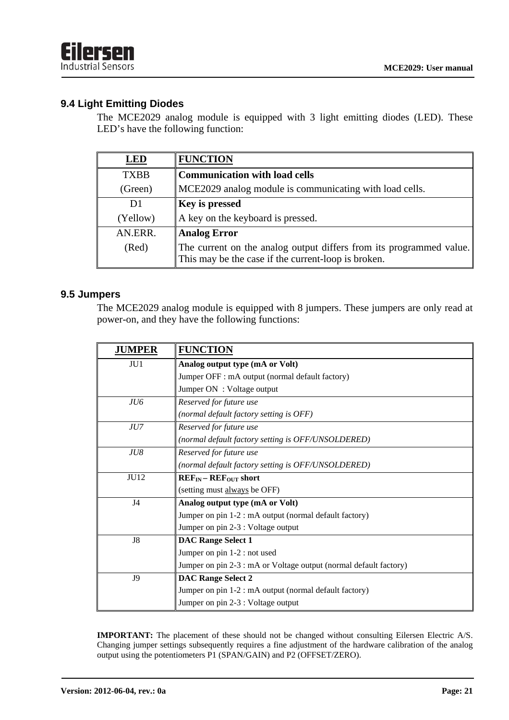#### **9.4 Light Emitting Diodes**

The MCE2029 analog module is equipped with 3 light emitting diodes (LED). These LED's have the following function:

| LED            | <b>FUNCTION</b>                                                                                                            |  |
|----------------|----------------------------------------------------------------------------------------------------------------------------|--|
| <b>TXBB</b>    | <b>Communication with load cells</b>                                                                                       |  |
| (Green)        | MCE2029 analog module is communicating with load cells.                                                                    |  |
| D <sub>1</sub> | <b>Key is pressed</b>                                                                                                      |  |
| (Yellow)       | A key on the keyboard is pressed.                                                                                          |  |
| AN.ERR.        | <b>Analog Error</b>                                                                                                        |  |
| (Red)          | The current on the analog output differs from its programmed value.<br>This may be the case if the current-loop is broken. |  |

#### **9.5 Jumpers**

The MCE2029 analog module is equipped with 8 jumpers. These jumpers are only read at power-on, and they have the following functions:

| <b>JUMPER</b>  | <b>FUNCTION</b>                                                   |  |
|----------------|-------------------------------------------------------------------|--|
| JU1            | Analog output type (mA or Volt)                                   |  |
|                | Jumper OFF : mA output (normal default factory)                   |  |
|                | Jumper ON : Voltage output                                        |  |
| JU6            | Reserved for future use                                           |  |
|                | (normal default factory setting is OFF)                           |  |
| JU7            | Reserved for future use                                           |  |
|                | (normal default factory setting is OFF/UNSOLDERED)                |  |
| JU8            | Reserved for future use                                           |  |
|                | (normal default factory setting is OFF/UNSOLDERED)                |  |
| <b>JU12</b>    | $REF_{IN}-REF_{OUT}$ short                                        |  |
|                | (setting must always be OFF)                                      |  |
| J <sub>4</sub> | Analog output type (mA or Volt)                                   |  |
|                | Jumper on pin 1-2 : mA output (normal default factory)            |  |
|                | Jumper on pin 2-3 : Voltage output                                |  |
| J8             | <b>DAC Range Select 1</b>                                         |  |
|                | Jumper on pin 1-2 : not used                                      |  |
|                | Jumper on pin 2-3 : mA or Voltage output (normal default factory) |  |
| J9             | <b>DAC Range Select 2</b>                                         |  |
|                | Jumper on pin 1-2 : mA output (normal default factory)            |  |
|                | Jumper on pin 2-3 : Voltage output                                |  |

**IMPORTANT:** The placement of these should not be changed without consulting Eilersen Electric A/S. Changing jumper settings subsequently requires a fine adjustment of the hardware calibration of the analog output using the potentiometers P1 (SPAN/GAIN) and P2 (OFFSET/ZERO).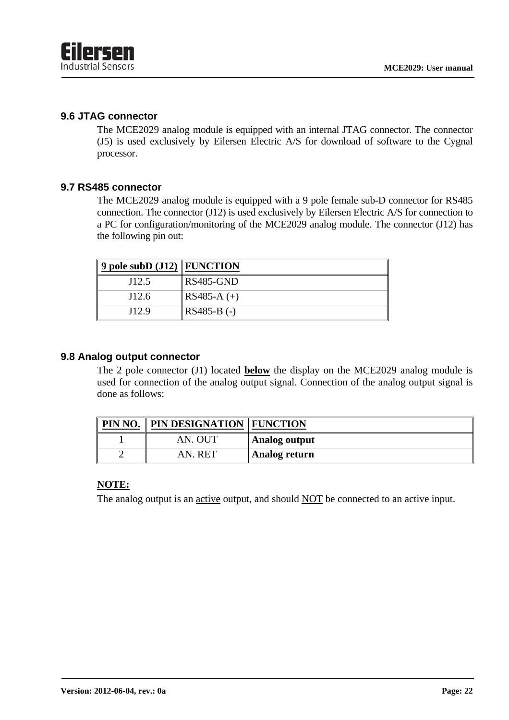#### **9.6 JTAG connector**

The MCE2029 analog module is equipped with an internal JTAG connector. The connector (J5) is used exclusively by Eilersen Electric A/S for download of software to the Cygnal processor.

#### **9.7 RS485 connector**

The MCE2029 analog module is equipped with a 9 pole female sub-D connector for RS485 connection. The connector (J12) is used exclusively by Eilersen Electric A/S for connection to a PC for configuration/monitoring of the MCE2029 analog module. The connector (J12) has the following pin out:

| 9 pole subD $(J12)$ FUNCTION |                                      |
|------------------------------|--------------------------------------|
| J12.5                        | $\overline{\text{RS}485\text{-GND}}$ |
| J12.6                        | $\text{RS}485-A (+)$                 |
| J12.9                        | $RS485-B$ (-)                        |

#### **9.8 Analog output connector**

The 2 pole connector (J1) located **below** the display on the MCE2029 analog module is used for connection of the analog output signal. Connection of the analog output signal is done as follows:

| PIN NO. | <b>PIN DESIGNATION FUNCTION</b> |                |
|---------|---------------------------------|----------------|
|         | AN. OUT                         | Analog output  |
|         | AN. RET                         | ∥Analog return |

#### **NOTE:**

The analog output is an active output, and should NOT be connected to an active input.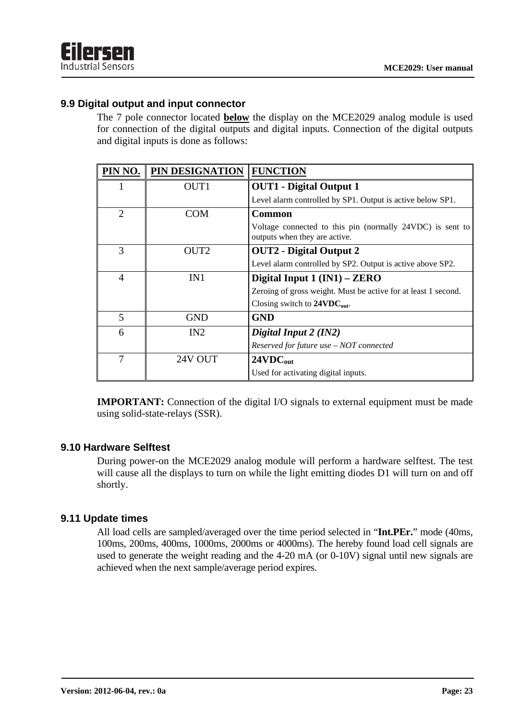#### **9.9 Digital output and input connector**

The 7 pole connector located **below** the display on the MCE2029 analog module is used for connection of the digital outputs and digital inputs. Connection of the digital outputs and digital inputs is done as follows:

| PIN NO.        | PIN DESIGNATION  | <b>FUNCTION</b>                                                                            |
|----------------|------------------|--------------------------------------------------------------------------------------------|
| 1              | OUT1             | <b>OUT1</b> - Digital Output 1                                                             |
|                |                  | Level alarm controlled by SP1. Output is active below SP1.                                 |
| $\overline{2}$ | COM              | <b>Common</b>                                                                              |
|                |                  | Voltage connected to this pin (normally 24VDC) is sent to<br>outputs when they are active. |
| 3              | OUT <sub>2</sub> | <b>OUT2</b> - Digital Output 2                                                             |
|                |                  | Level alarm controlled by SP2. Output is active above SP2.                                 |
| $\overline{4}$ | IN1              | Digital Input $1 (IN1) - ZERO$                                                             |
|                |                  | Zeroing of gross weight. Must be active for at least 1 second.                             |
|                |                  | Closing switch to $24VDC_{out}$ .                                                          |
| 5              | <b>GND</b>       | <b>GND</b>                                                                                 |
| 6              | IN2              | Digital Input 2 (IN2)                                                                      |
|                |                  | Reserved for future use - NOT connected                                                    |
| 7              | 24V OUT          | 24VDC <sub>out</sub>                                                                       |
|                |                  | Used for activating digital inputs.                                                        |

**IMPORTANT:** Connection of the digital I/O signals to external equipment must be made using solid-state-relays (SSR).

#### **9.10 Hardware Selftest**

During power-on the MCE2029 analog module will perform a hardware selftest. The test will cause all the displays to turn on while the light emitting diodes D1 will turn on and off shortly.

#### **9.11 Update times**

All load cells are sampled/averaged over the time period selected in "**Int.PEr.**" mode (40ms, 100ms, 200ms, 400ms, 1000ms, 2000ms or 4000ms). The hereby found load cell signals are used to generate the weight reading and the 4-20 mA (or 0-10V) signal until new signals are achieved when the next sample/average period expires.